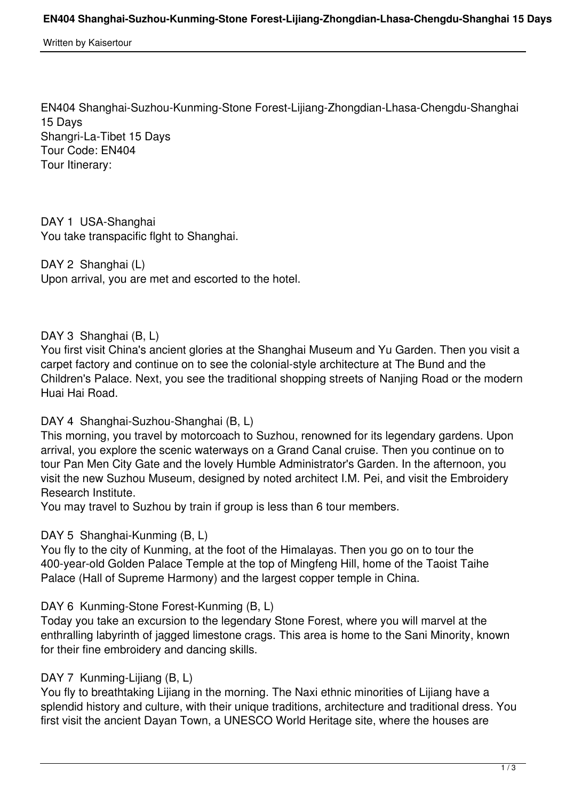Written by Kaisertour

EN404 Shanghai-Suzhou-Kunming-Stone Forest-Lijiang-Zhongdian-Lhasa-Chengdu-Shanghai 15 Days Shangri-La-Tibet 15 Days Tour Code: EN404 Tour Itinerary:

DAY 1 USA-Shanghai You take transpacific flght to Shanghai.

DAY 2 Shanghai (L) Upon arrival, you are met and escorted to the hotel.

# DAY 3 Shanghai (B, L)

You first visit China's ancient glories at the Shanghai Museum and Yu Garden. Then you visit a carpet factory and continue on to see the colonial-style architecture at The Bund and the Children's Palace. Next, you see the traditional shopping streets of Nanjing Road or the modern Huai Hai Road.

## DAY 4 Shanghai-Suzhou-Shanghai (B, L)

This morning, you travel by motorcoach to Suzhou, renowned for its legendary gardens. Upon arrival, you explore the scenic waterways on a Grand Canal cruise. Then you continue on to tour Pan Men City Gate and the lovely Humble Administrator's Garden. In the afternoon, you visit the new Suzhou Museum, designed by noted architect I.M. Pei, and visit the Embroidery Research Institute.

You may travel to Suzhou by train if group is less than 6 tour members.

# DAY 5 Shanghai-Kunming (B, L)

You fly to the city of Kunming, at the foot of the Himalayas. Then you go on to tour the 400-year-old Golden Palace Temple at the top of Mingfeng Hill, home of the Taoist Taihe Palace (Hall of Supreme Harmony) and the largest copper temple in China.

## DAY 6 Kunming-Stone Forest-Kunming (B, L)

Today you take an excursion to the legendary Stone Forest, where you will marvel at the enthralling labyrinth of jagged limestone crags. This area is home to the Sani Minority, known for their fine embroidery and dancing skills.

# DAY 7 Kunming-Lijiang (B, L)

You fly to breathtaking Lijiang in the morning. The Naxi ethnic minorities of Lijiang have a splendid history and culture, with their unique traditions, architecture and traditional dress. You first visit the ancient Dayan Town, a UNESCO World Heritage site, where the houses are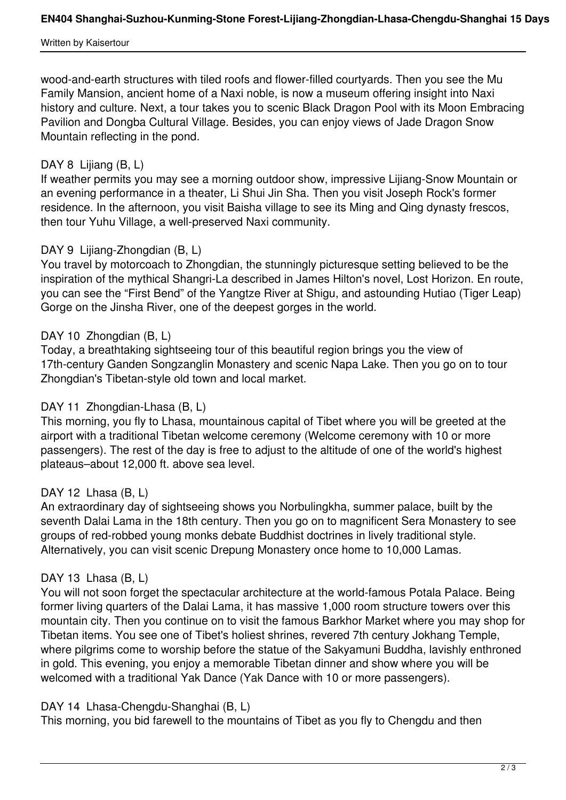#### Written by Kaisertour

wood-and-earth structures with tiled roofs and flower-filled courtyards. Then you see the Mu Family Mansion, ancient home of a Naxi noble, is now a museum offering insight into Naxi history and culture. Next, a tour takes you to scenic Black Dragon Pool with its Moon Embracing Pavilion and Dongba Cultural Village. Besides, you can enjoy views of Jade Dragon Snow Mountain reflecting in the pond.

# DAY 8 Lijiang (B, L)

If weather permits you may see a morning outdoor show, impressive Lijiang-Snow Mountain or an evening performance in a theater, Li Shui Jin Sha. Then you visit Joseph Rock's former residence. In the afternoon, you visit Baisha village to see its Ming and Qing dynasty frescos, then tour Yuhu Village, a well-preserved Naxi community.

## DAY 9 Lijiang-Zhongdian (B, L)

You travel by motorcoach to Zhongdian, the stunningly picturesque setting believed to be the inspiration of the mythical Shangri-La described in James Hilton's novel, Lost Horizon. En route, you can see the "First Bend" of the Yangtze River at Shigu, and astounding Hutiao (Tiger Leap) Gorge on the Jinsha River, one of the deepest gorges in the world.

## DAY 10 Zhongdian (B, L)

Today, a breathtaking sightseeing tour of this beautiful region brings you the view of 17th-century Ganden Songzanglin Monastery and scenic Napa Lake. Then you go on to tour Zhongdian's Tibetan-style old town and local market.

# DAY 11 Zhongdian-Lhasa (B, L)

This morning, you fly to Lhasa, mountainous capital of Tibet where you will be greeted at the airport with a traditional Tibetan welcome ceremony (Welcome ceremony with 10 or more passengers). The rest of the day is free to adjust to the altitude of one of the world's highest plateaus–about 12,000 ft. above sea level.

## DAY 12 Lhasa (B, L)

An extraordinary day of sightseeing shows you Norbulingkha, summer palace, built by the seventh Dalai Lama in the 18th century. Then you go on to magnificent Sera Monastery to see groups of red-robbed young monks debate Buddhist doctrines in lively traditional style. Alternatively, you can visit scenic Drepung Monastery once home to 10,000 Lamas.

## DAY 13 Lhasa (B, L)

You will not soon forget the spectacular architecture at the world-famous Potala Palace. Being former living quarters of the Dalai Lama, it has massive 1,000 room structure towers over this mountain city. Then you continue on to visit the famous Barkhor Market where you may shop for Tibetan items. You see one of Tibet's holiest shrines, revered 7th century Jokhang Temple, where pilgrims come to worship before the statue of the Sakyamuni Buddha, lavishly enthroned in gold. This evening, you enjoy a memorable Tibetan dinner and show where you will be welcomed with a traditional Yak Dance (Yak Dance with 10 or more passengers).

## DAY 14 Lhasa-Chengdu-Shanghai (B, L)

This morning, you bid farewell to the mountains of Tibet as you fly to Chengdu and then